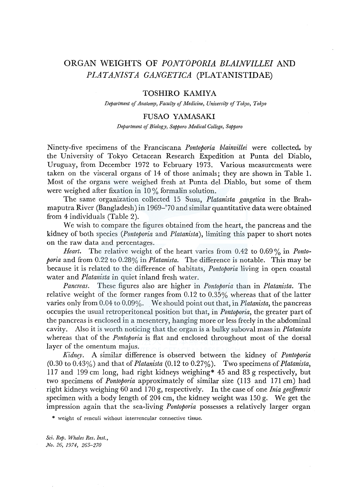# ORGAN WEIGHTS OF *PONTOPORIA BLAINVILLEI* AND *PLATANISTA GANGETICA* (PLATANISTIDAE)

# TOSHIRO KAMIYA

*Department of Anatomy, Faculty of Medicine, University of Tokyo, Tokyo* 

# FUSAO YAMASAKI

*Department of Biology, Sapporo Medical College, Sapporo* 

Ninety-five specimens of the Franciscana *Pontoporia blainvillei* were collected. by the University of Tokyo Cetacean Research Expedition at Punta del Diablo, Uruguay, from December 1972 to February 1973. Various measurements were taken on the visceral organs of 14 of those animals; they are shown in Table 1. Most of the organs were weighed fresh at Punta del Diablo, but some of them were weighed after fixation in  $10\%$  formalin solution.

The same organization collected 15 Susu, *Platanista gangetica* in the Brahmaputra River (Bangladesh) in 1969-'70 and similar quantitative data were obtained from 4 individuals (Table 2).

We wish to compare the figures obtained from the heart, the pancreas and the kidney of both species *(Pontoporia* and *Platanista* ), limiting this paper to short notes on the raw data and percentages.

*Heart.* The relative weight of the heart varies from 0.42 to 0.69 % in *Pontoporia* and from 0.22 to 0.28% in *Platanista.* The difference is notable. This may be because it is related to the difference of habitats, *Pontoporia* living in open coastal water and *Platanista* in quiet inland fresh water.

*Pancreas.* These figures also are higher in *Pontoporia* than in *Platanista.* The relative weight of the former ranges from 0.12 to 0.35% whereas that of the latter varies only from 0.04 to 0.09%. We should point out that, in *Platanista,* the pancreas occupies the usual retroperitoneal position but that, in *Pontoporia,* the greater part of the pancreas is enclosed in a mesentery, hanging more or less freely in the abdominal cavity. Also it is worth noticing that the organ is a bulky suboval mass in *Platanista*  whereas that of the *Pontoporia* is flat and enclosed throughout most of the dorsal layer of the omentum majus.

*Kidney.* A similar difference is observed between the kidney of *Pontoporia*  (0.30 to 0.43%) and that of *Platanista* (0.12 to 0.27%). Two specimens of *Platanista,*  117 and 199 cm long, had right kidneys weighing\* 45 and 83 g respectively, but two specimens of *Pontoporia* approximately of similar size (113 and 171 cm) had right kidneys weighing 60 and 1 70 g, respectively. In the case of one *Inia geoffrensis*  specimen with a body length of 204 cm, the kidney weight was 150 g. We get the impression again that the sea-living *Pontoporia* possesses a relatively larger organ

\* weight of renculi without interrencular connective tissue.

*Sci. Rep. Whales Res. Inst., No. 26, 1974, 265-270*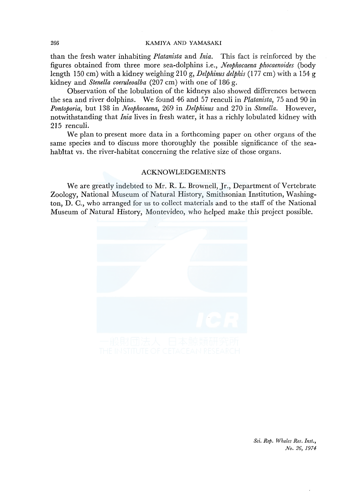#### 266 KAMIYA AND YAMASAKI

than the fresh water inhabiting *Platanista* and *Inia.* This fact is reinforced by the figures obtained from three more sea-dolphins i.e., *Neophocaena phocaenoides* (body length 150 cm) with a kidney weighing 210 g, *Delphinus delphis* (177 cm) with a 154 g kidney and *Stenella coeruleoalba* (207 cm) with one of 186 g.

Observation of the lobulation of the kidneys also showed differences between the sea and river dolphins. We found 46 and 57 renculi in *Platanista,* 75 and 90 in *Pontoporia,* but 138 in *Neophocaena,* 269 in *Delphinus* and 270 in *Stenella.* However, notwithstanding that *Inia* lives in fresh water, it has a richly lobulated kidney with 215 renculi.

We plan to present more data in a forthcoming paper on other organs of the same species and to discuss more thoroughly the possible significance of the seahabitat vs. the river-habitat concerning the relative size of those organs.

# ACKNOWLEDGEMENTS

We are greatly indebted to Mr. R. L. Brownell, Jr., Department of Vertebrate Zoology, National Museum of Natural History, Smithsonian Institution, Washington, D. C., who arranged for us to collect materials and to the staff of the National Museum of Natural History, Montevideo, who helped make this project possible.



*Sci. Rep. Whales Res. Inst., No. 26, 1974*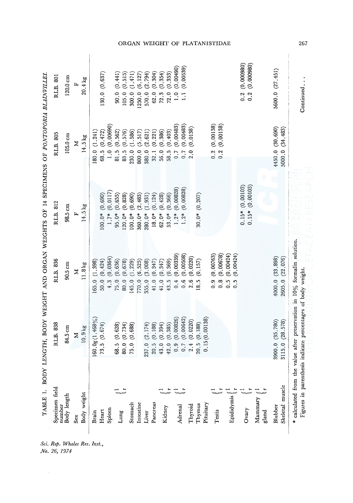| RLB. 838<br>84.5 cm<br>10.9 kg<br>Z                                                                                       | RLB. 836                                                   | RLB. 812                              | RLB. 805                               | RLB. 801                                    |
|---------------------------------------------------------------------------------------------------------------------------|------------------------------------------------------------|---------------------------------------|----------------------------------------|---------------------------------------------|
|                                                                                                                           | $90.5 \text{ cm}$                                          | 98.5 cm                               | $105.0 \text{ cm}$                     | $120.0\,\mathrm{cm}$                        |
|                                                                                                                           | Z                                                          | 叫                                     | Σ                                      | 匞                                           |
|                                                                                                                           | 11.8 kg                                                    | 14.5 kg                               | $14.5\,\mathrm{kg}$                    | $20.4$ kg                                   |
| 160.0g(1.468%)                                                                                                            | (1.398)<br>165.0                                           |                                       | (1.241)<br>180.0                       |                                             |
| 73.5(0.674)                                                                                                               | (0.424)<br>50.0                                            | (0.690)<br>100.0*                     | $(0.472)$<br>$(0.00690)$<br>68.5       | 130.0 (0.637)                               |
|                                                                                                                           | (0.0364)<br>4.3                                            | (0.0117)<br>$1.7*$                    | $\frac{0}{1}$                          |                                             |
| (0.628)                                                                                                                   | (0.636)<br>75.0                                            | (0.655)<br>$95.0*$                    | (0.562)<br>81.5                        | (0.441)<br>90.0                             |
| 80.0 (0.734)                                                                                                              | (0.678)<br>80.0                                            | (0.828)<br>$120.0*$                   | (0.576)<br>83.5                        | 105.0                                       |
| (0.688)                                                                                                                   | (1.229)<br>145.0                                           | (0.690)<br>$100.0*$                   | (1.586)<br>230.0                       | $(0.515)$<br>$(1.471)$<br>300.0             |
|                                                                                                                           | 770.0                                                      | (2.483)<br>360.0*                     | (5.517)<br>800.0                       | (6.127)<br>1250.0                           |
| 237.0 (2.174)                                                                                                             | $(6.525)$<br>$(3.008)$<br>355.0                            | (1.931)<br>$280.0*$                   | (2.621)<br>380.0                       | (2.794)<br>570.0                            |
| (0.188)                                                                                                                   | (0.347)<br>41.0                                            | (0.124)<br>$18.0*$                    | (0.221)<br>32.1                        | $(0.304)$<br>$(0.354)$<br>$(0.353)$<br>62.0 |
| (0.394)                                                                                                                   | (0.347)<br>41.0                                            | (0.428)<br>$62.0*$                    | (0.386)<br>56.0                        | 72.3                                        |
| $\begin{array}{c} 42.0 \:\:\: (0.385) \\ 0.9 \:\:\: (0.00826) \\ 0.7 \:\:\: (0.00642) \\ 2.4 \:\:\: (0.0220) \end{array}$ | (0.369)<br>43.5                                            | (0.366)<br>$53.0*$                    | (0.403)<br>58.5                        | 72.0                                        |
| (0.00826)                                                                                                                 | (0.00339)<br>0.4                                           | (0.00828)<br>$1.2*$                   | (0.00483)<br>0.7                       | (0.00490)<br>$\frac{0}{1}$                  |
| (0.00642)                                                                                                                 | (0.00508)<br>0.6                                           | (0.00828)<br>$1.2*$                   | (0.00483)<br>0.7                       | (0.00539)<br>$\frac{1}{2}$                  |
|                                                                                                                           | (0.0220)<br>2.6                                            |                                       | (0.0138)<br>2.0                        |                                             |
| 20.5(0.188)                                                                                                               | (0.157)<br>8.5                                             | $30.0*$ (0.207)                       |                                        |                                             |
| 0.15(0.00138)                                                                                                             |                                                            |                                       |                                        |                                             |
|                                                                                                                           | (0.00763)<br>(0.00678)<br>$\frac{1}{2}$<br>$\frac{8}{0}$   |                                       | (0.00138)<br>0.2(0.00138)<br>0.2       |                                             |
|                                                                                                                           | (0.00424)<br>(0.00424)<br>$0.\overline{5}$<br>$\ddot{0}$ . |                                       |                                        |                                             |
|                                                                                                                           |                                                            | $0.15*(0.00103)$<br>$0.15*$ (0.00103) |                                        | 0.2(0.000980)<br>(0.000980)<br>0.2          |
|                                                                                                                           |                                                            |                                       |                                        |                                             |
| 3900.0 (35.780)<br>3115.0 (28.578)                                                                                        | 4000.0 (33.898)<br>(22.076)<br>2605.0                      |                                       | 4450.0 (30.690)<br>(34, 483)<br>5000.0 | 5600.0 (27.451)                             |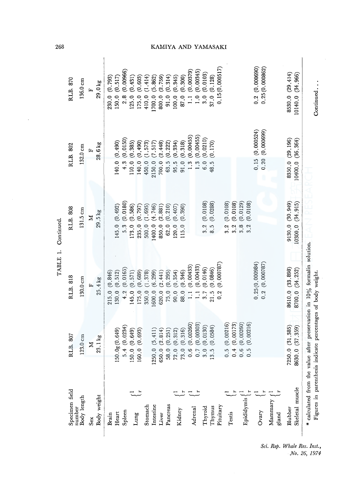| 268                      |                         |                         |                  |                  |                                  |                  |                  |                  |                   |                   |                 |                  |                                                              |                               |                              |                                         |                            | KAMIYA AND YAMASAKI |                                    |                 |                 |                                         |                  |                 |                      |
|--------------------------|-------------------------|-------------------------|------------------|------------------|----------------------------------|------------------|------------------|------------------|-------------------|-------------------|-----------------|------------------|--------------------------------------------------------------|-------------------------------|------------------------------|-----------------------------------------|----------------------------|---------------------|------------------------------------|-----------------|-----------------|-----------------------------------------|------------------|-----------------|----------------------|
| RLB. 870                 | $136.0 \text{ cm}$<br>E | 29.0 kg                 | 230.0 (0.793)    | (0.517)<br>150.0 | (0.00966)<br>2.8                 | (0.431)<br>125.0 | (0.603)<br>175.0 | (1.414)<br>410.0 | (5.862)<br>1700.0 | (2.759)<br>800.0  | (0.314)<br>91.0 | (0.345)<br>100.0 | (0.300)<br>87.0                                              | (0.00379)<br>$\frac{1}{2}$    | (0.00345)<br>$\frac{0}{1}$ . | (0.0103)<br>3.0                         | 37.0 (0.128)               | 0.15(0.000517)      |                                    |                 |                 | 0.2(0.00690)<br>0.25(0.000862)          |                  | 8530.0 (29.414) | (34, 966)<br>10140.0 |
| RLB. 802                 | $132.0 \text{ cm}$      | 28.6 kg<br>E            |                  | (0.490)<br>140.0 | (0.0150)<br>4.3                  | (0.385)<br>110.0 | (0.490)<br>140.0 | (1.573)<br>450.0 | (7.517)<br>2150.0 | (2.448)<br>700.0  | (0.222)<br>63.5 | (0.334)<br>95.5  | (0.318)<br>91.0                                              | (0.00455)<br>1.3              | (0.00455)<br>1.3             | (0.0210)<br>6.0                         | (0.170)<br>48.5            |                     |                                    |                 |                 | (0.000524)<br>(0.00699)<br>0.15<br>0.20 |                  | 8350.0 (29.196) | 10400.0 (36.364)     |
| RLB. 808                 | $131.5 \text{ cm}$      | 29.5 kg<br>Z            |                  | 145.0 (0.492)    | (0.0180)<br>5.3                  | (0.586)<br>173.0 | (0.797)<br>235.0 | (1.695)<br>500.0 | (4.746)<br>1400.0 | (2, 881)<br>850.0 | (0.210)<br>62.0 | (0.407)<br>120.0 | (0.390)<br>115.0                                             |                               |                              | (0.0108)<br>3.2                         | (0.0288)<br>8.5            |                     | (0.0108)<br>(0.0108)<br>3.2<br>3.2 | (0.0129)<br>3,8 | (0.0108)<br>3.2 |                                         |                  | 9130.0 (30.949) | (34.915)<br>10300.0  |
| RLB. 818                 | 130.0 cm                | $25.4 \text{ kg}$<br>Ŀ  | (0.846)<br>215.0 | (0.512)<br>130.0 | $(0.0165)$<br>$(0.571)$<br>4.2   | 145.0            | (0.689)<br>175.0 | (1.378)<br>350.0 | (6.299)<br>1600.0 | (2.441)<br>620.0  | (0.295)<br>75.0 | (0.354)<br>90.0  | (0.346)<br>88.0                                              | (0.00433)<br>$\overline{1}$ . | (0.00433)<br>$\frac{1}{2}$   | (0.0146)<br>3.7                         | (0.0846)<br>21.5           | (0.000787)<br>0.2   |                                    |                 |                 | 0.25(0.000984)<br>0.2 (0.000787)        |                  | 8610.0 (33.898) | (34.252)<br>8700.0   |
| B. 807<br>ដ              | $123.0 \text{ cm}$      | 23.1 kg<br>$\mathbb{Z}$ |                  | 150.0g(0.649)    | $5.4(0.0234)$<br>150.0 $(0.649)$ |                  | (0.693)<br>160.0 |                  | (5.411)<br>1250.0 | (2.814)<br>650.0  | (0.251)         | (0.312)          | (0.316)<br>$\frac{58.0}{72.0}$<br>$\frac{72.0}{73.0}$<br>0.7 | (0.00260)                     | (0.00303)                    | (0.0130)<br>$\circ$<br>$\overline{3}$ . | (0.0584)<br>$\frac{13}{2}$ |                     | $(0.00216)$<br>$(0.00173)$         | (0.00260)       | (0.00216)       |                                         |                  | 7250.0(31.385)  | (37, 359)<br>8630.0  |
| Specimen field<br>number | Body length             | Body weight<br>Sex      | Brain            | Heart            | Spleen                           |                  | Lung             | Stomach          | Intestine         | Liver             | Pancreas        |                  | Kidney                                                       |                               | Adrenal                      | Thyroid                                 | Thymus                     | Pituitary           | Testis                             | Epididymis      |                 | Ovary                                   | Mammary<br>gland | Blubber         | Skeletal muscle      |

 $\ddot{\phantom{a}}$ 

# AMIYA AND YAMASAKI

No. 26, 1974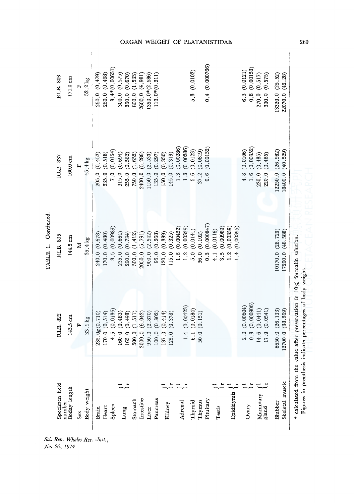|                |        |                    |     |             |                  |                  |                  |                  |                  |                  |                    |                   |                  |                  |                  | ORGAN WEIGHT OF            |                  |                           |                  |                   | PLATANISTIDAE               |                  |                                      |                  |                               |                  |                                                      |                  |                  |
|----------------|--------|--------------------|-----|-------------|------------------|------------------|------------------|------------------|------------------|------------------|--------------------|-------------------|------------------|------------------|------------------|----------------------------|------------------|---------------------------|------------------|-------------------|-----------------------------|------------------|--------------------------------------|------------------|-------------------------------|------------------|------------------------------------------------------|------------------|------------------|
| RLB. 803       |        | 171.0 cm           | įz, | 52.2 kg     | 250.0 (0.479)    | 260.0 (0.498)    | 3.4*(0.00651     | 300.0 (0.575)    | (0.670)<br>350.0 | (1.533)<br>800.0 | 2600.0 (4.981)     | $1350.0*(2.586)$  | $110.0*(0.211)$  |                  |                  |                            |                  | 5.3(0.0102)               |                  | 0.4(0.000766)     |                             |                  |                                      | (0.0121)<br>6.3  | (0.00153)<br>$0.\overline{8}$ | (0.517)<br>270.0 | (0.575)<br>$300.0$                                   | 13320.0 (25.52)  | 22070.0 (42.28)  |
| RLB. 837       |        | $160.0 \text{ cm}$ | E   | 45.4 kg     | (0.452)<br>205.0 | (0.518)<br>235.0 | (0.0154)<br>7.0  | (0.694)<br>315.0 | (0.562)<br>255.0 | (1.652)<br>750.0 | (5, 286)<br>2400.0 | (2.533)<br>1150.0 | (0.297)<br>135.0 | (0.330)<br>150.0 | (0.319)<br>145.0 | (0.00286)<br>1.3           | (0.00286)<br>1.3 | (0.0123)<br>5.6           | (0.0819)<br>37.2 | (0.00132)<br>0.6  |                             |                  |                                      | (0.0106)<br>4.8  |                               |                  | $1.6(0.00352)$<br>220.0 $(0.485)$<br>220.0 $(0.485)$ | 12250.0 (26.982) | 18400.0 (40.529) |
| RLB. 835       |        | 144.5 cm           | Z   | 35.4 kg     | (0.678)<br>240.0 | (0.480)<br>170.0 | (0.00989)<br>3.5 | (0.664)<br>235.0 | (0.734)<br>260.0 | (1.412)<br>500.0 | (5.791)<br>2050.0  | (2.542)<br>900.0  | (0.268)<br>95.0  | (0.339)<br>120.0 | (0.325)<br>115.0 | (0.00452)<br>$\frac{6}{1}$ | (0.00339)<br>1.2 | (0.0141)<br>$\frac{0}{2}$ | (0.102)<br>36.0  | (0.000847)<br>0.3 | (0.0116)<br>$\frac{1}{4}$ . | (0.00989)<br>3.5 | (0.00339)<br>(0.00395)<br>1.2<br>1.4 |                  |                               |                  |                                                      | 10170.0 (28.729) | 17200.0 (48.588) |
| RLB. 822       |        | 143.5 cm           | 円   | 33.1 kg     | 235.0g(0.710)    | 170.0 (0.514)    | (0.0136)<br>4.5  | (0.483)<br>160.0 | (0.498)<br>165.0 | (1.511)<br>500.0 | (6.042)<br>2000.0  | (2.870)<br>950.0  | (0.302)<br>100.0 | (0.414)<br>137.0 | (0.378)<br>125.0 |                            | (0.00423)<br>1.4 | (0.0184)<br>6.1           | (0.151)<br>50.0  |                   |                             |                  |                                      | (0.00604)<br>2.0 | (0.000006)<br>0.3             | (0.0441)<br>14.6 | (0.0541)<br>17.9                                     | 8650.0 (26.133)  | 12700.0 (38.369) |
| Specimen field | number | Boday length       | Sex | Body weight | Brain            | Heart            | Spleen           |                  | ٿ<br>Lung        | Stomach          | Intestine          | Liver             | Pancreas         | Kidney           |                  |                            | Adrenal          | Thyroid                   | Thymus           | Pituitary         | Testis                      |                  | Epididymis                           | Ovary            |                               | Mammary          | gland                                                | Blubber          | Skeletal muscle  |

Sci. Rep. Whales Res. -Inst.,<br>No. 26, 1974